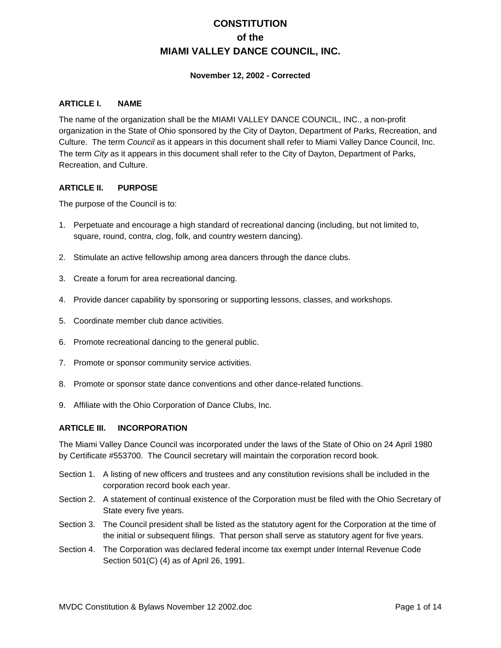## **CONSTITUTION of the MIAMI VALLEY DANCE COUNCIL, INC.**

### **November 12, 2002 - Corrected**

### **ARTICLE I. NAME**

The name of the organization shall be the MIAMI VALLEY DANCE COUNCIL, INC., a non-profit organization in the State of Ohio sponsored by the City of Dayton, Department of Parks, Recreation, and Culture. The term *Council* as it appears in this document shall refer to Miami Valley Dance Council, Inc. The term *City* as it appears in this document shall refer to the City of Dayton, Department of Parks, Recreation, and Culture.

### **ARTICLE II. PURPOSE**

The purpose of the Council is to:

- 1. Perpetuate and encourage a high standard of recreational dancing (including, but not limited to, square, round, contra, clog, folk, and country western dancing).
- 2. Stimulate an active fellowship among area dancers through the dance clubs.
- 3. Create a forum for area recreational dancing.
- 4. Provide dancer capability by sponsoring or supporting lessons, classes, and workshops.
- 5. Coordinate member club dance activities.
- 6. Promote recreational dancing to the general public.
- 7. Promote or sponsor community service activities.
- 8. Promote or sponsor state dance conventions and other dance-related functions.
- 9. Affiliate with the Ohio Corporation of Dance Clubs, Inc.

## **ARTICLE III. INCORPORATION**

The Miami Valley Dance Council was incorporated under the laws of the State of Ohio on 24 April 1980 by Certificate #553700. The Council secretary will maintain the corporation record book.

- Section 1. A listing of new officers and trustees and any constitution revisions shall be included in the corporation record book each year.
- Section 2. A statement of continual existence of the Corporation must be filed with the Ohio Secretary of State every five years.
- Section 3. The Council president shall be listed as the statutory agent for the Corporation at the time of the initial or subsequent filings. That person shall serve as statutory agent for five years.
- Section 4. The Corporation was declared federal income tax exempt under Internal Revenue Code Section 501(C) (4) as of April 26, 1991.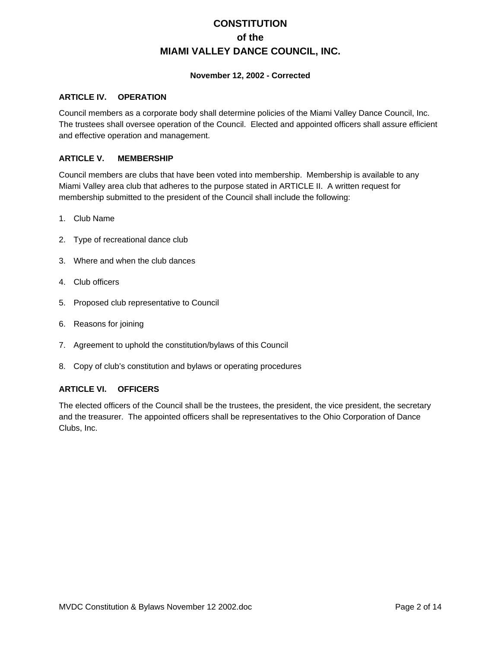## **CONSTITUTION of the MIAMI VALLEY DANCE COUNCIL, INC.**

## **November 12, 2002 - Corrected**

### **ARTICLE IV. OPERATION**

Council members as a corporate body shall determine policies of the Miami Valley Dance Council, Inc. The trustees shall oversee operation of the Council. Elected and appointed officers shall assure efficient and effective operation and management.

### **ARTICLE V. MEMBERSHIP**

Council members are clubs that have been voted into membership. Membership is available to any Miami Valley area club that adheres to the purpose stated in ARTICLE II. A written request for membership submitted to the president of the Council shall include the following:

- 1. Club Name
- 2. Type of recreational dance club
- 3. Where and when the club dances
- 4. Club officers
- 5. Proposed club representative to Council
- 6. Reasons for joining
- 7. Agreement to uphold the constitution/bylaws of this Council
- 8. Copy of club's constitution and bylaws or operating procedures

## **ARTICLE VI. OFFICERS**

The elected officers of the Council shall be the trustees, the president, the vice president, the secretary and the treasurer. The appointed officers shall be representatives to the Ohio Corporation of Dance Clubs, Inc.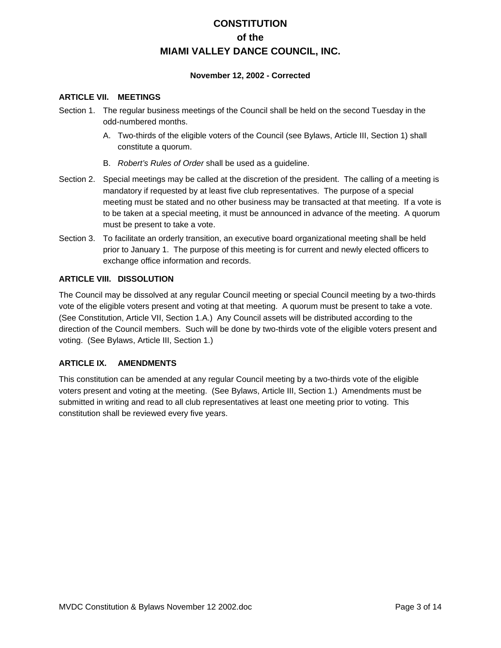# **CONSTITUTION of the MIAMI VALLEY DANCE COUNCIL, INC.**

## **November 12, 2002 - Corrected**

### **ARTICLE VII. MEETINGS**

- Section 1. The regular business meetings of the Council shall be held on the second Tuesday in the odd-numbered months.
	- A. Two-thirds of the eligible voters of the Council (see Bylaws, Article III, Section 1) shall constitute a quorum.
	- B. *Robert's Rules of Order* shall be used as a guideline.
- Section 2. Special meetings may be called at the discretion of the president. The calling of a meeting is mandatory if requested by at least five club representatives. The purpose of a special meeting must be stated and no other business may be transacted at that meeting. If a vote is to be taken at a special meeting, it must be announced in advance of the meeting. A quorum must be present to take a vote.
- Section 3. To facilitate an orderly transition, an executive board organizational meeting shall be held prior to January 1. The purpose of this meeting is for current and newly elected officers to exchange office information and records.

## **ARTICLE VIII. DISSOLUTION**

The Council may be dissolved at any regular Council meeting or special Council meeting by a two-thirds vote of the eligible voters present and voting at that meeting. A quorum must be present to take a vote. (See Constitution, Article VII, Section 1.A.) Any Council assets will be distributed according to the direction of the Council members. Such will be done by two-thirds vote of the eligible voters present and voting. (See Bylaws, Article III, Section 1.)

## **ARTICLE IX. AMENDMENTS**

This constitution can be amended at any regular Council meeting by a two-thirds vote of the eligible voters present and voting at the meeting. (See Bylaws, Article III, Section 1.) Amendments must be submitted in writing and read to all club representatives at least one meeting prior to voting. This constitution shall be reviewed every five years.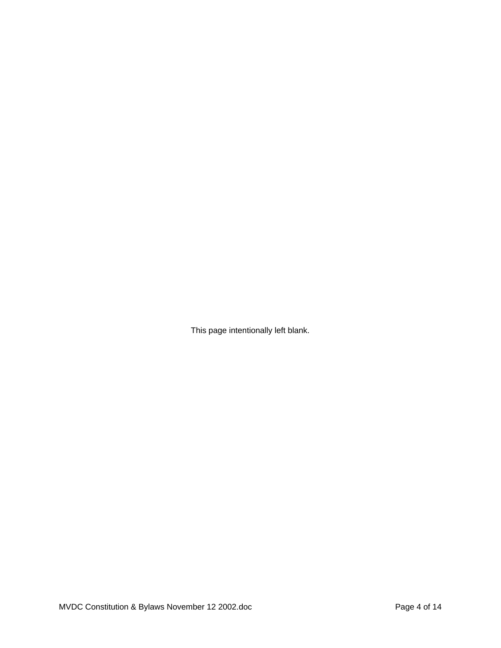This page intentionally left blank.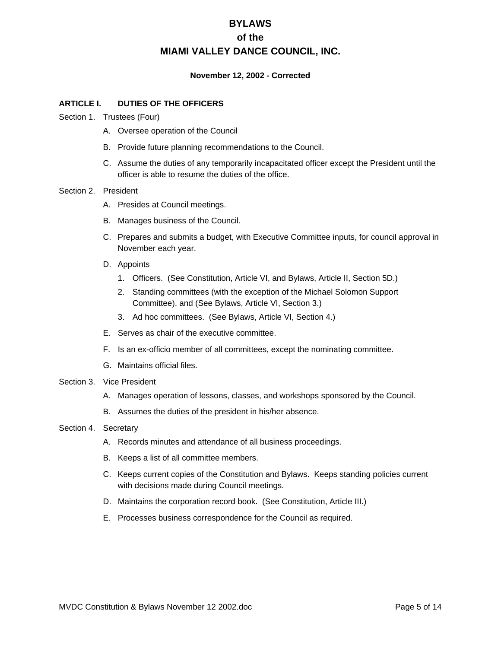#### **November 12, 2002 - Corrected**

### **ARTICLE I. DUTIES OF THE OFFICERS**

- Section 1. Trustees (Four)
	- A. Oversee operation of the Council
	- B. Provide future planning recommendations to the Council.
	- C. Assume the duties of any temporarily incapacitated officer except the President until the officer is able to resume the duties of the office.

#### Section 2. President

- A. Presides at Council meetings.
- B. Manages business of the Council.
- C. Prepares and submits a budget, with Executive Committee inputs, for council approval in November each year.
- D. Appoints
	- 1. Officers. (See Constitution, Article VI, and Bylaws, Article II, Section 5D.)
	- 2. Standing committees (with the exception of the Michael Solomon Support Committee), and (See Bylaws, Article VI, Section 3.)
	- 3. Ad hoc committees. (See Bylaws, Article VI, Section 4.)
- E. Serves as chair of the executive committee.
- F. Is an ex-officio member of all committees, except the nominating committee.
- G. Maintains official files.
- Section 3. Vice President
	- A. Manages operation of lessons, classes, and workshops sponsored by the Council.
	- B. Assumes the duties of the president in his/her absence.

#### Section 4. Secretary

- A. Records minutes and attendance of all business proceedings.
- B. Keeps a list of all committee members.
- C. Keeps current copies of the Constitution and Bylaws. Keeps standing policies current with decisions made during Council meetings.
- D. Maintains the corporation record book. (See Constitution, Article III.)
- E. Processes business correspondence for the Council as required.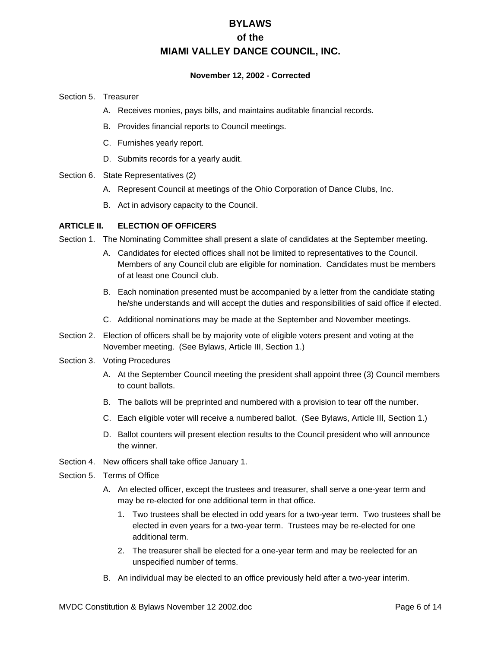### **November 12, 2002 - Corrected**

### Section 5. Treasurer

- A. Receives monies, pays bills, and maintains auditable financial records.
- B. Provides financial reports to Council meetings.
- C. Furnishes yearly report.
- D. Submits records for a yearly audit.
- Section 6. State Representatives (2)
	- A. Represent Council at meetings of the Ohio Corporation of Dance Clubs, Inc.
	- B. Act in advisory capacity to the Council.

## **ARTICLE II. ELECTION OF OFFICERS**

- Section 1. The Nominating Committee shall present a slate of candidates at the September meeting.
	- A. Candidates for elected offices shall not be limited to representatives to the Council. Members of any Council club are eligible for nomination. Candidates must be members of at least one Council club.
	- B. Each nomination presented must be accompanied by a letter from the candidate stating he/she understands and will accept the duties and responsibilities of said office if elected.
	- C. Additional nominations may be made at the September and November meetings.
- Section 2. Election of officers shall be by majority vote of eligible voters present and voting at the November meeting. (See Bylaws, Article III, Section 1.)
- Section 3. Voting Procedures
	- A. At the September Council meeting the president shall appoint three (3) Council members to count ballots.
	- B. The ballots will be preprinted and numbered with a provision to tear off the number.
	- C. Each eligible voter will receive a numbered ballot. (See Bylaws, Article III, Section 1.)
	- D. Ballot counters will present election results to the Council president who will announce the winner.
- Section 4. New officers shall take office January 1.
- Section 5. Terms of Office
	- A. An elected officer, except the trustees and treasurer, shall serve a one-year term and may be re-elected for one additional term in that office.
		- 1. Two trustees shall be elected in odd years for a two-year term. Two trustees shall be elected in even years for a two-year term. Trustees may be re-elected for one additional term.
		- 2. The treasurer shall be elected for a one-year term and may be reelected for an unspecified number of terms.
	- B. An individual may be elected to an office previously held after a two-year interim.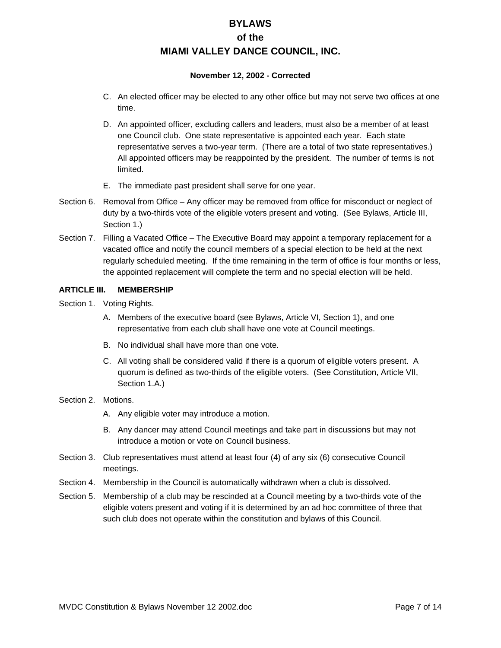### **November 12, 2002 - Corrected**

- C. An elected officer may be elected to any other office but may not serve two offices at one time.
- D. An appointed officer, excluding callers and leaders, must also be a member of at least one Council club. One state representative is appointed each year. Each state representative serves a two-year term. (There are a total of two state representatives.) All appointed officers may be reappointed by the president. The number of terms is not limited.
- E. The immediate past president shall serve for one year.
- Section 6. Removal from Office Any officer may be removed from office for misconduct or neglect of duty by a two-thirds vote of the eligible voters present and voting. (See Bylaws, Article III, Section 1.)
- Section 7. Filling a Vacated Office The Executive Board may appoint a temporary replacement for a vacated office and notify the council members of a special election to be held at the next regularly scheduled meeting. If the time remaining in the term of office is four months or less, the appointed replacement will complete the term and no special election will be held.

### **ARTICLE III. MEMBERSHIP**

- Section 1. Voting Rights.
	- A. Members of the executive board (see Bylaws, Article VI, Section 1), and one representative from each club shall have one vote at Council meetings.
	- B. No individual shall have more than one vote.
	- C. All voting shall be considered valid if there is a quorum of eligible voters present. A quorum is defined as two-thirds of the eligible voters. (See Constitution, Article VII, Section 1.A.)
- Section 2. Motions.
	- A. Any eligible voter may introduce a motion.
	- B. Any dancer may attend Council meetings and take part in discussions but may not introduce a motion or vote on Council business.
- Section 3. Club representatives must attend at least four (4) of any six (6) consecutive Council meetings.
- Section 4. Membership in the Council is automatically withdrawn when a club is dissolved.
- Section 5. Membership of a club may be rescinded at a Council meeting by a two-thirds vote of the eligible voters present and voting if it is determined by an ad hoc committee of three that such club does not operate within the constitution and bylaws of this Council.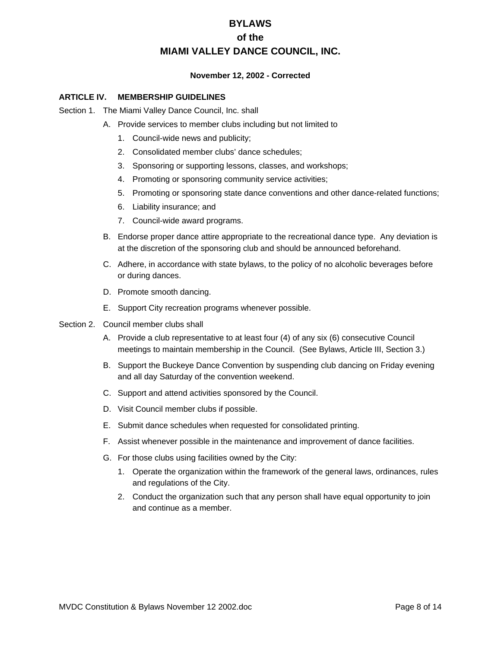### **November 12, 2002 - Corrected**

### **ARTICLE IV. MEMBERSHIP GUIDELINES**

- Section 1. The Miami Valley Dance Council, Inc. shall
	- A. Provide services to member clubs including but not limited to
		- 1. Council-wide news and publicity;
		- 2. Consolidated member clubs' dance schedules;
		- 3. Sponsoring or supporting lessons, classes, and workshops;
		- 4. Promoting or sponsoring community service activities;
		- 5. Promoting or sponsoring state dance conventions and other dance-related functions;
		- 6. Liability insurance; and
		- 7. Council-wide award programs.
	- B. Endorse proper dance attire appropriate to the recreational dance type. Any deviation is at the discretion of the sponsoring club and should be announced beforehand.
	- C. Adhere, in accordance with state bylaws, to the policy of no alcoholic beverages before or during dances.
	- D. Promote smooth dancing.
	- E. Support City recreation programs whenever possible.
- Section 2. Council member clubs shall
	- A. Provide a club representative to at least four (4) of any six (6) consecutive Council meetings to maintain membership in the Council. (See Bylaws, Article III, Section 3.)
	- B. Support the Buckeye Dance Convention by suspending club dancing on Friday evening and all day Saturday of the convention weekend.
	- C. Support and attend activities sponsored by the Council.
	- D. Visit Council member clubs if possible.
	- E. Submit dance schedules when requested for consolidated printing.
	- F. Assist whenever possible in the maintenance and improvement of dance facilities.
	- G. For those clubs using facilities owned by the City:
		- 1. Operate the organization within the framework of the general laws, ordinances, rules and regulations of the City.
		- 2. Conduct the organization such that any person shall have equal opportunity to join and continue as a member.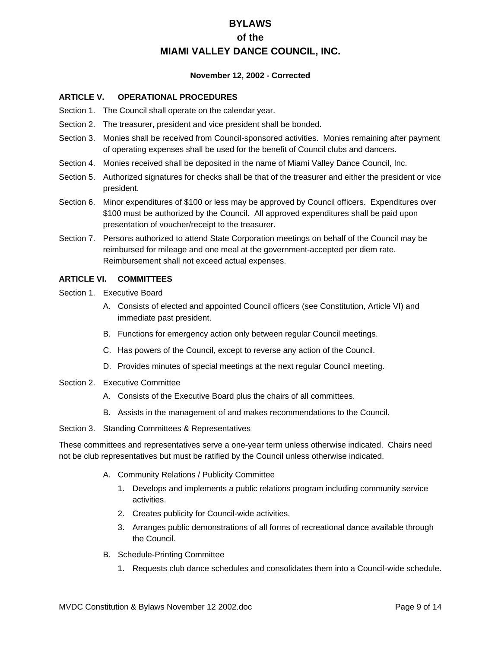### **November 12, 2002 - Corrected**

### **ARTICLE V. OPERATIONAL PROCEDURES**

- Section 1. The Council shall operate on the calendar year.
- Section 2. The treasurer, president and vice president shall be bonded.
- Section 3. Monies shall be received from Council-sponsored activities. Monies remaining after payment of operating expenses shall be used for the benefit of Council clubs and dancers.
- Section 4. Monies received shall be deposited in the name of Miami Valley Dance Council, Inc.
- Section 5. Authorized signatures for checks shall be that of the treasurer and either the president or vice president.
- Section 6. Minor expenditures of \$100 or less may be approved by Council officers. Expenditures over \$100 must be authorized by the Council. All approved expenditures shall be paid upon presentation of voucher/receipt to the treasurer.
- Section 7. Persons authorized to attend State Corporation meetings on behalf of the Council may be reimbursed for mileage and one meal at the government-accepted per diem rate. Reimbursement shall not exceed actual expenses.

### **ARTICLE VI. COMMITTEES**

- Section 1. Executive Board
	- A. Consists of elected and appointed Council officers (see Constitution, Article VI) and immediate past president.
	- B. Functions for emergency action only between regular Council meetings.
	- C. Has powers of the Council, except to reverse any action of the Council.
	- D. Provides minutes of special meetings at the next regular Council meeting.
- Section 2. Executive Committee
	- A. Consists of the Executive Board plus the chairs of all committees.
	- B. Assists in the management of and makes recommendations to the Council.
- Section 3. Standing Committees & Representatives

These committees and representatives serve a one-year term unless otherwise indicated. Chairs need not be club representatives but must be ratified by the Council unless otherwise indicated.

- A. Community Relations / Publicity Committee
	- 1. Develops and implements a public relations program including community service activities.
	- 2. Creates publicity for Council-wide activities.
	- 3. Arranges public demonstrations of all forms of recreational dance available through the Council.
- B. Schedule-Printing Committee
	- 1. Requests club dance schedules and consolidates them into a Council-wide schedule.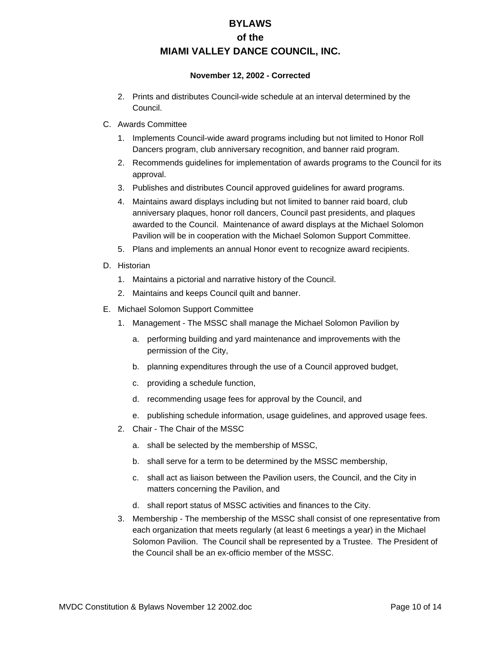## **November 12, 2002 - Corrected**

- 2. Prints and distributes Council-wide schedule at an interval determined by the Council.
- C. Awards Committee
	- 1. Implements Council-wide award programs including but not limited to Honor Roll Dancers program, club anniversary recognition, and banner raid program.
	- 2. Recommends guidelines for implementation of awards programs to the Council for its approval.
	- 3. Publishes and distributes Council approved guidelines for award programs.
	- 4. Maintains award displays including but not limited to banner raid board, club anniversary plaques, honor roll dancers, Council past presidents, and plaques awarded to the Council. Maintenance of award displays at the Michael Solomon Pavilion will be in cooperation with the Michael Solomon Support Committee.
	- 5. Plans and implements an annual Honor event to recognize award recipients.
- D. Historian
	- 1. Maintains a pictorial and narrative history of the Council.
	- 2. Maintains and keeps Council quilt and banner.
- E. Michael Solomon Support Committee
	- 1. Management The MSSC shall manage the Michael Solomon Pavilion by
		- a. performing building and yard maintenance and improvements with the permission of the City,
		- b. planning expenditures through the use of a Council approved budget,
		- c. providing a schedule function,
		- d. recommending usage fees for approval by the Council, and
		- e. publishing schedule information, usage guidelines, and approved usage fees.
	- 2. Chair The Chair of the MSSC
		- a. shall be selected by the membership of MSSC,
		- b. shall serve for a term to be determined by the MSSC membership,
		- c. shall act as liaison between the Pavilion users, the Council, and the City in matters concerning the Pavilion, and
		- d. shall report status of MSSC activities and finances to the City.
	- 3. Membership The membership of the MSSC shall consist of one representative from each organization that meets regularly (at least 6 meetings a year) in the Michael Solomon Pavilion. The Council shall be represented by a Trustee. The President of the Council shall be an ex-officio member of the MSSC.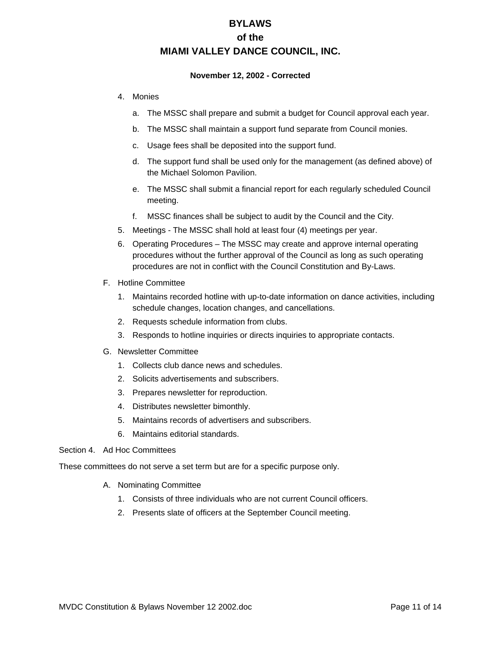### **November 12, 2002 - Corrected**

- 4. Monies
	- a. The MSSC shall prepare and submit a budget for Council approval each year.
	- b. The MSSC shall maintain a support fund separate from Council monies.
	- c. Usage fees shall be deposited into the support fund.
	- d. The support fund shall be used only for the management (as defined above) of the Michael Solomon Pavilion.
	- e. The MSSC shall submit a financial report for each regularly scheduled Council meeting.
	- f. MSSC finances shall be subject to audit by the Council and the City.
- 5. Meetings The MSSC shall hold at least four (4) meetings per year.
- 6. Operating Procedures The MSSC may create and approve internal operating procedures without the further approval of the Council as long as such operating procedures are not in conflict with the Council Constitution and By-Laws.
- F. Hotline Committee
	- 1. Maintains recorded hotline with up-to-date information on dance activities, including schedule changes, location changes, and cancellations.
	- 2. Requests schedule information from clubs.
	- 3. Responds to hotline inquiries or directs inquiries to appropriate contacts.
- G. Newsletter Committee
	- 1. Collects club dance news and schedules.
	- 2. Solicits advertisements and subscribers.
	- 3. Prepares newsletter for reproduction.
	- 4. Distributes newsletter bimonthly.
	- 5. Maintains records of advertisers and subscribers.
	- 6. Maintains editorial standards.

Section 4. Ad Hoc Committees

These committees do not serve a set term but are for a specific purpose only.

- A. Nominating Committee
	- 1. Consists of three individuals who are not current Council officers.
	- 2. Presents slate of officers at the September Council meeting.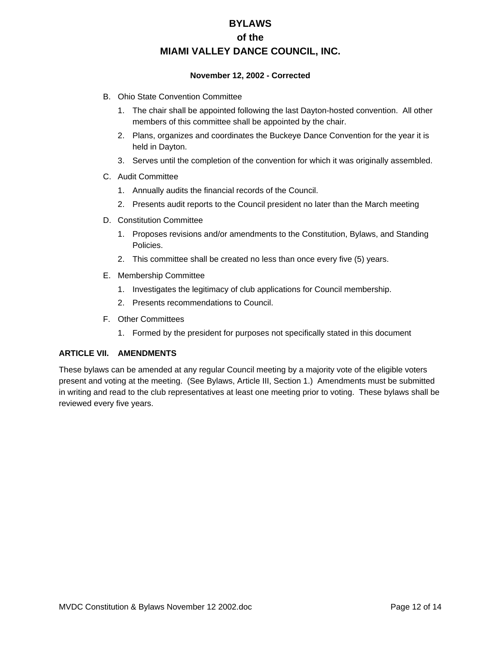### **November 12, 2002 - Corrected**

- B. Ohio State Convention Committee
	- 1. The chair shall be appointed following the last Dayton-hosted convention. All other members of this committee shall be appointed by the chair.
	- 2. Plans, organizes and coordinates the Buckeye Dance Convention for the year it is held in Dayton.
	- 3. Serves until the completion of the convention for which it was originally assembled.
- C. Audit Committee
	- 1. Annually audits the financial records of the Council.
	- 2. Presents audit reports to the Council president no later than the March meeting
- D. Constitution Committee
	- 1. Proposes revisions and/or amendments to the Constitution, Bylaws, and Standing Policies.
	- 2. This committee shall be created no less than once every five (5) years.
- E. Membership Committee
	- 1. Investigates the legitimacy of club applications for Council membership.
	- 2. Presents recommendations to Council.
- F. Other Committees
	- 1. Formed by the president for purposes not specifically stated in this document

#### **ARTICLE VII. AMENDMENTS**

These bylaws can be amended at any regular Council meeting by a majority vote of the eligible voters present and voting at the meeting. (See Bylaws, Article III, Section 1.) Amendments must be submitted in writing and read to the club representatives at least one meeting prior to voting. These bylaws shall be reviewed every five years.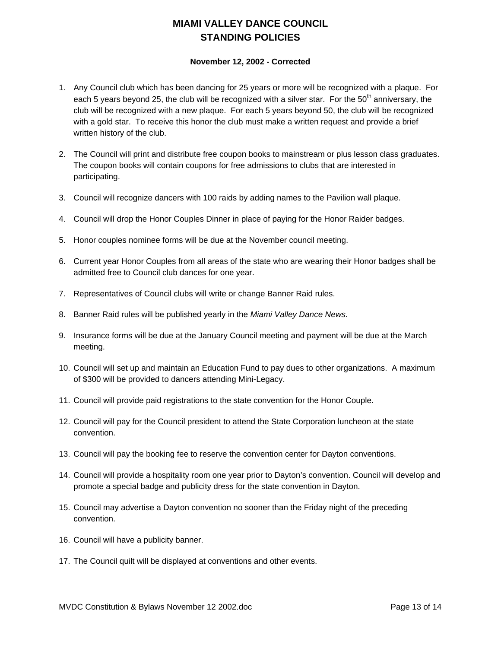# **MIAMI VALLEY DANCE COUNCIL STANDING POLICIES**

## **November 12, 2002 - Corrected**

- 1. Any Council club which has been dancing for 25 years or more will be recognized with a plaque. For each 5 years beyond 25, the club will be recognized with a silver star. For the 50<sup>th</sup> anniversary, the club will be recognized with a new plaque. For each 5 years beyond 50, the club will be recognized with a gold star. To receive this honor the club must make a written request and provide a brief written history of the club.
- 2. The Council will print and distribute free coupon books to mainstream or plus lesson class graduates. The coupon books will contain coupons for free admissions to clubs that are interested in participating.
- 3. Council will recognize dancers with 100 raids by adding names to the Pavilion wall plaque.
- 4. Council will drop the Honor Couples Dinner in place of paying for the Honor Raider badges.
- 5. Honor couples nominee forms will be due at the November council meeting.
- 6. Current year Honor Couples from all areas of the state who are wearing their Honor badges shall be admitted free to Council club dances for one year.
- 7. Representatives of Council clubs will write or change Banner Raid rules.
- 8. Banner Raid rules will be published yearly in the *Miami Valley Dance News.*
- 9. Insurance forms will be due at the January Council meeting and payment will be due at the March meeting.
- 10. Council will set up and maintain an Education Fund to pay dues to other organizations. A maximum of \$300 will be provided to dancers attending Mini-Legacy.
- 11. Council will provide paid registrations to the state convention for the Honor Couple.
- 12. Council will pay for the Council president to attend the State Corporation luncheon at the state convention.
- 13. Council will pay the booking fee to reserve the convention center for Dayton conventions.
- 14. Council will provide a hospitality room one year prior to Dayton's convention. Council will develop and promote a special badge and publicity dress for the state convention in Dayton.
- 15. Council may advertise a Dayton convention no sooner than the Friday night of the preceding convention.
- 16. Council will have a publicity banner.
- 17. The Council quilt will be displayed at conventions and other events.